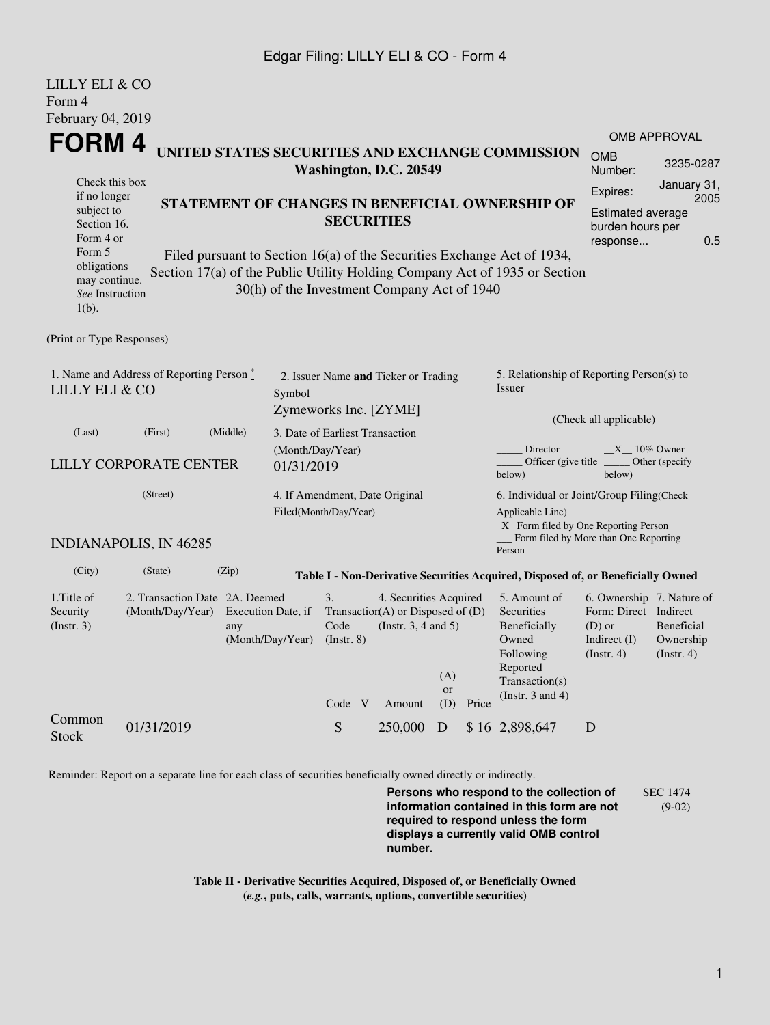## Edgar Filing: LILLY ELI & CO - Form 4

| LILLY ELI & CO                                                                                     |                                                                                                     |          |                                                               |                                                                                                                                                 |                                                                                           |                  |                                                                                                         |                                                                                  |                                                                                                      |                                             |  |
|----------------------------------------------------------------------------------------------------|-----------------------------------------------------------------------------------------------------|----------|---------------------------------------------------------------|-------------------------------------------------------------------------------------------------------------------------------------------------|-------------------------------------------------------------------------------------------|------------------|---------------------------------------------------------------------------------------------------------|----------------------------------------------------------------------------------|------------------------------------------------------------------------------------------------------|---------------------------------------------|--|
| Form 4                                                                                             |                                                                                                     |          |                                                               |                                                                                                                                                 |                                                                                           |                  |                                                                                                         |                                                                                  |                                                                                                      |                                             |  |
| February 04, 2019                                                                                  |                                                                                                     |          |                                                               |                                                                                                                                                 |                                                                                           |                  |                                                                                                         |                                                                                  |                                                                                                      | <b>OMB APPROVAL</b>                         |  |
| <b>FORM4</b><br>Check this box<br>if no longer<br>subject to<br>Section 16.<br>Form 4 or<br>Form 5 |                                                                                                     |          |                                                               | UNITED STATES SECURITIES AND EXCHANGE COMMISSION<br>Washington, D.C. 20549                                                                      |                                                                                           |                  |                                                                                                         |                                                                                  | <b>OMB</b><br>Number:                                                                                | 3235-0287                                   |  |
|                                                                                                    |                                                                                                     |          |                                                               | STATEMENT OF CHANGES IN BENEFICIAL OWNERSHIP OF<br><b>SECURITIES</b><br>Filed pursuant to Section 16(a) of the Securities Exchange Act of 1934, |                                                                                           |                  |                                                                                                         |                                                                                  | January 31,<br>Expires:<br>2005<br>Estimated average<br>burden hours per<br>0.5<br>response          |                                             |  |
| obligations<br>may continue.<br>See Instruction<br>$1(b)$ .                                        |                                                                                                     |          |                                                               | 30(h) of the Investment Company Act of 1940                                                                                                     |                                                                                           |                  |                                                                                                         | Section 17(a) of the Public Utility Holding Company Act of 1935 or Section       |                                                                                                      |                                             |  |
| (Print or Type Responses)                                                                          |                                                                                                     |          |                                                               |                                                                                                                                                 |                                                                                           |                  |                                                                                                         |                                                                                  |                                                                                                      |                                             |  |
| 1. Name and Address of Reporting Person $\stackrel{*}{\mathbb{L}}$<br>LILLY ELI & CO<br>Symbol     |                                                                                                     |          | 2. Issuer Name and Ticker or Trading<br>Zymeworks Inc. [ZYME] |                                                                                                                                                 |                                                                                           |                  | 5. Relationship of Reporting Person(s) to<br>Issuer                                                     |                                                                                  |                                                                                                      |                                             |  |
| (Last)                                                                                             | (First)                                                                                             | (Middle) |                                                               | 3. Date of Earliest Transaction                                                                                                                 |                                                                                           |                  |                                                                                                         | (Check all applicable)                                                           |                                                                                                      |                                             |  |
| <b>LILLY CORPORATE CENTER</b><br>01/31/2019                                                        |                                                                                                     |          | (Month/Day/Year)                                              |                                                                                                                                                 |                                                                                           |                  | Director<br>$X_{10\%}$ Owner<br>Officer (give title ________ Other (specify<br>below)<br>below)         |                                                                                  |                                                                                                      |                                             |  |
| (Street)                                                                                           |                                                                                                     |          | 4. If Amendment, Date Original<br>Filed(Month/Day/Year)       |                                                                                                                                                 |                                                                                           |                  | 6. Individual or Joint/Group Filing(Check<br>Applicable Line)<br>_X_ Form filed by One Reporting Person |                                                                                  |                                                                                                      |                                             |  |
|                                                                                                    | <b>INDIANAPOLIS, IN 46285</b>                                                                       |          |                                                               |                                                                                                                                                 |                                                                                           |                  |                                                                                                         | Form filed by More than One Reporting<br>Person                                  |                                                                                                      |                                             |  |
| (City)                                                                                             | (State)                                                                                             | (Zip)    |                                                               |                                                                                                                                                 |                                                                                           |                  |                                                                                                         | Table I - Non-Derivative Securities Acquired, Disposed of, or Beneficially Owned |                                                                                                      |                                             |  |
| 1. Title of<br>Security<br>(Insert. 3)                                                             | 2. Transaction Date 2A. Deemed<br>(Month/Day/Year)<br>Execution Date, if<br>any<br>(Month/Day/Year) |          |                                                               | 3.<br>Code<br>$($ Instr. $8)$                                                                                                                   | 4. Securities Acquired<br>Transaction(A) or Disposed of $(D)$<br>(Instr. $3, 4$ and $5$ ) |                  |                                                                                                         | 5. Amount of<br>Securities<br>Beneficially<br>Owned<br>Following                 | 6. Ownership 7. Nature of<br>Form: Direct Indirect<br>$(D)$ or<br>Indirect $(I)$<br>$($ Instr. 4 $)$ | Beneficial<br>Ownership<br>$($ Instr. 4 $)$ |  |
|                                                                                                    |                                                                                                     |          |                                                               | Code V                                                                                                                                          | Amount                                                                                    | (A)<br>or<br>(D) | Price                                                                                                   | Reported<br>Transaction(s)<br>(Instr. $3$ and $4$ )                              |                                                                                                      |                                             |  |
| Common<br><b>Stock</b>                                                                             | 01/31/2019                                                                                          |          |                                                               | S                                                                                                                                               | 250,000                                                                                   | D                |                                                                                                         | \$16 2,898,647                                                                   | D                                                                                                    |                                             |  |

Reminder: Report on a separate line for each class of securities beneficially owned directly or indirectly.

**Persons who respond to the collection of information contained in this form are not required to respond unless the form displays a currently valid OMB control number.** SEC 1474 (9-02)

**Table II - Derivative Securities Acquired, Disposed of, or Beneficially Owned (***e.g.***, puts, calls, warrants, options, convertible securities)**